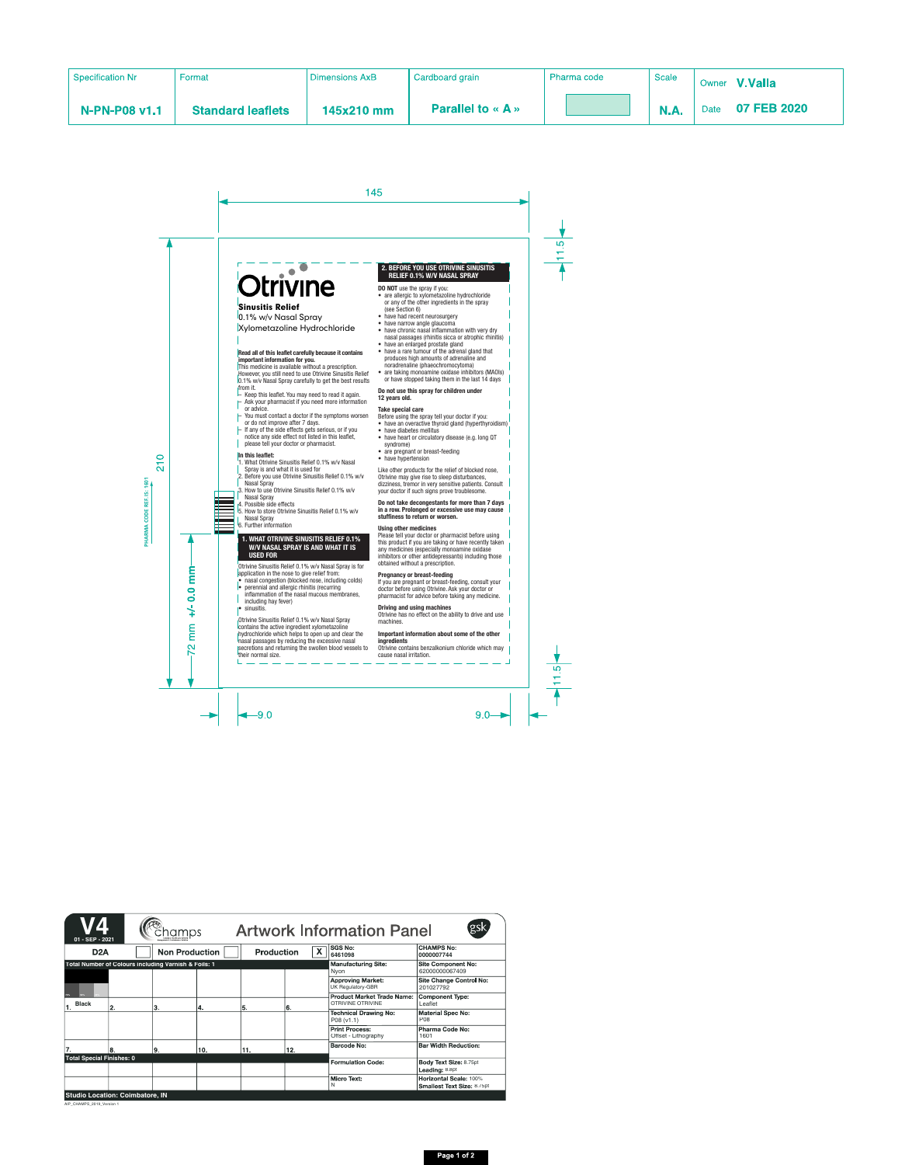# Otrivine

# Sinusitis Relief

0.1% w/v Nasal Spray Xylometazoline Hydrochloride

#### **Read all of this leaflet carefully because it contains important information for you.**

This medicine is available without a prescription. However, you still need to use Otrivine Sinusitis Relief 0.1% w/v Nasal Spray carefully to get the best results from it.

- Keep this leaflet. You may need to read it again.
- Ask your pharmacist if you need more information or advice.
- You must contact a doctor if the symptoms worsen or do not improve after 7 days.
- If any of the side effects gets serious, or if you notice any side effect not listed in this leaflet, please tell your doctor or pharmacist.

#### **In this leaflet:**

- 1. What Otrivine Sinusitis Relief 0.1% w/v Nasal Spray is and what it is used for
- 2. Before you use Otrivine Sinusitis Relief 0.1% w/v Nasal Spray
- 3. How to use Otrivine Sinusitis Relief 0.1% w/v **Nasal Spray**
- 4. Possible side effects
- 5. How to store Otrivine Sinusitis Relief 0.1% w/v Nasal Spray
- 6. Further information

#### **1. WHAT OTRIVINE SINUSITIS RELIEF 0.1% W/V NASAL SPRAY IS AND WHAT IT IS USED FOR**

Otrivine Sinusitis Relief 0.1% w/v Nasal Spray is for application in the nose to give relief from:

- nasal congestion (blocked nose, including colds)
- perennial and allergic rhinitis (recurring inflammation of the nasal mucous membranes, including hay fever)
- sinusitis.

Otrivine Sinusitis Relief 0.1% w/v Nasal Spray contains the active ingredient xylometazoline hydrochloride which helps to open up and clear the nasal passages by reducing the excessive nasal secretions and returning the swollen blood vessels to their normal size.

### **2. BEFORE YOU USE OTRIVINE SINUSITIS RELIEF 0.1% W/V NASAL SPRAY**

**DO NOT** use the spray if you:

- are allergic to xylometazoline hydrochloride or any of the other ingredients in the spray (see Section 6)
- have had recent neurosurgery
- have narrow angle glaucoma
- have chronic nasal inflammation with very dry nasal passages (rhinitis sicca or atrophic rhinitis)
- have an enlarged prostate gland
- have a rare tumour of the adrenal gland that produces high amounts of adrenaline and noradrenaline (phaeochromocytoma)
- are taking monoamine oxidase inhibitors (MAOIs) or have stopped taking them in the last 14 days

#### **Do not use this spray for children under 12 years old.**

#### **Take special care**

Before using the spray tell your doctor if you:

- have an overactive thyroid gland (hyperthyroidism)
- have diabetes mellitus
- have heart or circulatory disease (e.g. long QT syndrome)
- are pregnant or breast-feeding
- have hypertension

Like other products for the relief of blocked nose, Otrivine may give rise to sleep disturbances, dizziness, tremor in very sensitive patients. Consult your doctor if such signs prove troublesome.

#### **Do not take decongestants for more than 7 days in a row. Prolonged or excessive use may cause stuffiness to return or worsen.**

#### **Using other medicines**

Please tell your doctor or pharmacist before using this product if you are taking or have recently taken any medicines (especially monoamine oxidase inhibitors or other antidepressants) including those obtained without a prescription.

#### **Pregnancy or breast-feeding**

If you are pregnant or breast-feeding, consult your doctor before using Otrivine. Ask your doctor or pharmacist for advice before taking any medicine.

#### **Driving and using machines**

Otrivine has no effect on the ability to drive and use machines.

#### **Important information about some of the other ingredients**

Otrivine contains benzalkonium chloride which may cause nasal irritation.